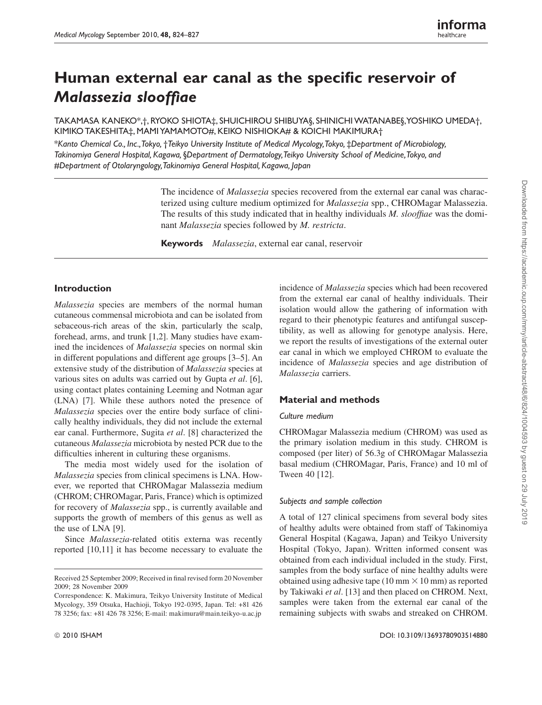# Human external ear canal as the specific reservoir of *Malassezia slooffi ae*

TAKAMASA KANEKO\*, †, RYOKO SHIOTA±, SHUICHIROU SHIBUYA§, SHINICHI WATANABE§, YOSHIKO UMEDA†, KIMIKO TAKESHITA‡, MAMI YAMAMOTO#, KEIKO NISHIOKA# & KOICHI MAKIMURA†

\**Kanto Chemical Co., Inc., Tokyo,* †*Teikyo University Institute of Medical Mycology, Tokyo,* ‡ *Department of Microbiology, Takinomiya General Hospital, Kagawa,* §*Department of Dermatology, Teikyo University School of Medicine, Tokyo, and*  #*Department of Otolaryngology, Takinomiya General Hospital, Kagawa, Japan* 

> The incidence of *Malassezia* species recovered from the external ear canal was characterized using culture medium optimized for *Malassezia* spp., CHROMagar Malassezia. The results of this study indicated that in healthy individuals *M. slooffiae* was the dominant *Malassezia* species followed by *M. restricta* .

**Keywords** *Malassezia*, external ear canal, reservoir

# **Introduction**

*Malassezia* species are members of the normal human cutaneous commensal microbiota and can be isolated from sebaceous-rich areas of the skin, particularly the scalp, forehead, arms, and trunk [1,2]. Many studies have examined the incidences of *Malassezia* species on normal skin in different populations and different age groups [3–5]. An extensive study of the distribution of *Malassezia* species at various sites on adults was carried out by Gupta *et al* . [6], using contact plates containing Leeming and Notman agar (LNA) [7]. While these authors noted the presence of *Malassezia* species over the entire body surface of clinically healthy individuals, they did not include the external ear canal. Furthermore, Sugita *et al* . [8] characterized the cutaneous *Malassezia* microbiota by nested PCR due to the difficulties inherent in culturing these organisms.

 The media most widely used for the isolation of *Malassezia* species from clinical specimens is LNA. However, we reported that CHROMagar Malassezia medium (CHROM; CHROMagar, Paris, France) which is optimized for recovery of *Malassezia* spp., is currently available and supports the growth of members of this genus as well as the use of LNA [9].

 Since *Malassezia* -related otitis externa was recently reported [10,11] it has become necessary to evaluate the

incidence of *Malassezia* species which had been recovered from the external ear canal of healthy individuals. Their isolation would allow the gathering of information with regard to their phenotypic features and antifungal susceptibility, as well as allowing for genotype analysis. Here, we report the results of investigations of the external outer ear canal in which we employed CHROM to evaluate the incidence of *Malassezia* species and age distribution of *Malassezia* carriers.

# **Material and methods**

## *Culture medium*

 CHROMagar Malassezia medium (CHROM) was used as the primary isolation medium in this study. CHROM is composed (per liter) of 56.3g of CHROMagar Malassezia basal medium (CHROMagar, Paris, France) and 10 ml of Tween 40 [12].

## *Subjects and sample collection*

 A total of 127 clinical specimens from several body sites of healthy adults were obtained from staff of Takinomiya General Hospital (Kagawa, Japan) and Teikyo University Hospital (Tokyo, Japan). Written informed consent was obtained from each individual included in the study. First, samples from the body surface of nine healthy adults were obtained using adhesive tape  $(10 \text{ mm} \times 10 \text{ mm})$  as reported by Takiwaki *et al* . [13] and then placed on CHROM. Next, samples were taken from the external ear canal of the remaining subjects with swabs and streaked on CHROM.

Received 25 September 2009; Received in final revised form 20 November 2009; 28 November 2009

Correspondence: K. Makimura, Teikyo University Institute of Medical Mycology, 359 Otsuka, Hachioji, Tokyo 192-0395, Japan. Tel: +81 426 78 3256; fax: +81 426 78 3256; E-mail: makimura@main.teikyo-u.ac.jp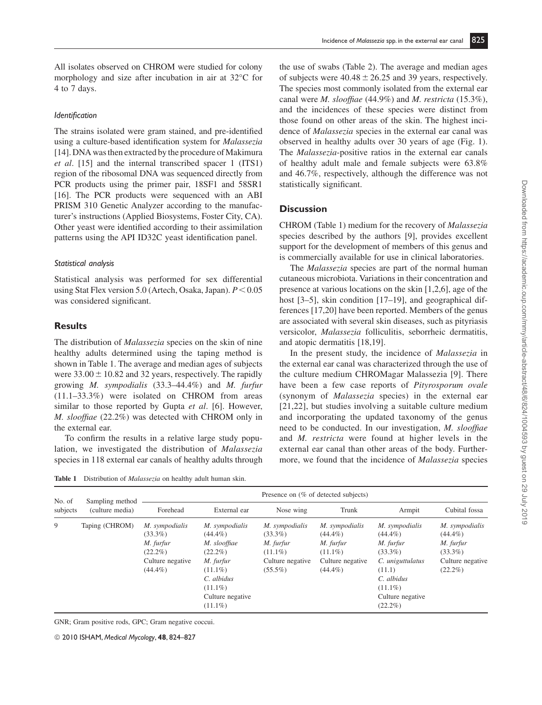All isolates observed on CHROM were studied for colony morphology and size after incubation in air at 32°C for

#### *Identifi cation*

4 to 7 days.

The strains isolated were gram stained, and pre-identified using a culture-based identification system for *Malassezia*  [14]. DNA was then extracted by the procedure of Makimura *et al* . [15] and the internal transcribed spacer 1 (ITS1) region of the ribosomal DNA was sequenced directly from PCR products using the primer pair, 18SF1 and 58SR1 [16]. The PCR products were sequenced with an ABI PRISM 310 Genetic Analyzer according to the manufacturer's instructions (Applied Biosystems, Foster City, CA). Other yeast were identified according to their assimilation patterns using the API ID32C yeast identification panel.

#### *Statistical analysis*

 Statistical analysis was performed for sex differential using Stat Flex version 5.0 (Artech, Osaka, Japan).  $P < 0.05$ was considered significant.

## **Results**

 The distribution of *Malassezia* species on the skin of nine healthy adults determined using the taping method is shown in Table 1. The average and median ages of subjects were  $33.00 \pm 10.82$  and 32 years, respectively. The rapidly growing *M. sympodialis* (33.3–44.4%) and *M. furfur* (11.1–33.3%) were isolated on CHROM from areas similar to those reported by Gupta *et al.* [6]. However, *M. slooffiae* (22.2%) was detected with CHROM only in the external ear.

To confirm the results in a relative large study population, we investigated the distribution of *Malassezia* species in 118 external ear canals of healthy adults through

 **Table 1** Distribution of *Malassezia* on healthy adult human skin.

the use of swabs (Table 2). The average and median ages of subjects were  $40.48 \pm 26.25$  and 39 years, respectively. The species most commonly isolated from the external ear canal were *M. slooffiae* (44.9%) and *M. restricta* (15.3%), and the incidences of these species were distinct from those found on other areas of the skin. The highest incidence of *Malassezia* species in the external ear canal was observed in healthy adults over 30 years of age (Fig. 1). The *Malassezia* -positive ratios in the external ear canals of healthy adult male and female subjects were 63.8% and 46.7%, respectively, although the difference was not statistically significant.

# **Discussion**

 CHROM (Table 1) medium for the recovery of *Malassezia* species described by the authors [9], provides excellent support for the development of members of this genus and is commercially available for use in clinical laboratories.

 The *Malassezia* species are part of the normal human cutaneous microbiota. Variations in their concentration and presence at various locations on the skin [1,2,6], age of the host [3–5], skin condition [17–19], and geographical differences [17,20] have been reported. Members of the genus are associated with several skin diseases, such as pityriasis versicolor, *Malassezia* folliculitis, seborrheic dermatitis, and atopic dermatitis [18,19].

 In the present study, the incidence of *Malassezia* in the external ear canal was characterized through the use of the culture medium CHROMagar Malassezia [9]. There have been a few case reports of *Pityrosporum ovale* (synonym of *Malassezia* species) in the external ear [21,22], but studies involving a suitable culture medium and incorporating the updated taxonomy of the genus need to be conducted. In our investigation, *M. slooffiae* and *M. restricta* were found at higher levels in the external ear canal than other areas of the body. Furthermore, we found that the incidence of *Malassezia* species

| No. of<br>subjects | Sampling method<br>(culture media) | Presence on (% of detected subjects)                                                      |                                                                                                                                                     |                                                                                           |                                                                                           |                                                                                                                                                     |                                                                                           |  |  |
|--------------------|------------------------------------|-------------------------------------------------------------------------------------------|-----------------------------------------------------------------------------------------------------------------------------------------------------|-------------------------------------------------------------------------------------------|-------------------------------------------------------------------------------------------|-----------------------------------------------------------------------------------------------------------------------------------------------------|-------------------------------------------------------------------------------------------|--|--|
|                    |                                    | Forehead                                                                                  | External ear                                                                                                                                        | Nose wing                                                                                 | Trunk                                                                                     | Armpit                                                                                                                                              | Cubital fossa                                                                             |  |  |
| 9                  | Taping (CHROM)                     | M. sympodialis<br>$(33.3\%)$<br>M. furfur<br>$(22.2\%)$<br>Culture negative<br>$(44.4\%)$ | M. sympodialis<br>$(44.4\%)$<br>M. slooffiae<br>$(22.2\%)$<br>M. furfur<br>$(11.1\%)$<br>C. albidus<br>$(11.1\%)$<br>Culture negative<br>$(11.1\%)$ | M. sympodialis<br>$(33.3\%)$<br>M. furfur<br>$(11.1\%)$<br>Culture negative<br>$(55.5\%)$ | M. sympodialis<br>$(44.4\%)$<br>M. furfur<br>$(11.1\%)$<br>Culture negative<br>$(44.4\%)$ | M. sympodialis<br>$(44.4\%)$<br>M. furfur<br>$(33.3\%)$<br>C. uniguttulatus<br>(11.1)<br>C. albidus<br>$(11.1\%)$<br>Culture negative<br>$(22.2\%)$ | M. sympodialis<br>$(44.4\%)$<br>M. furfur<br>$(33.3\%)$<br>Culture negative<br>$(22.2\%)$ |  |  |

GNR; Gram positive rods, GPC; Gram negative coccui.

© 2010 ISHAM, *Medical Mycology*, **48**, 824–827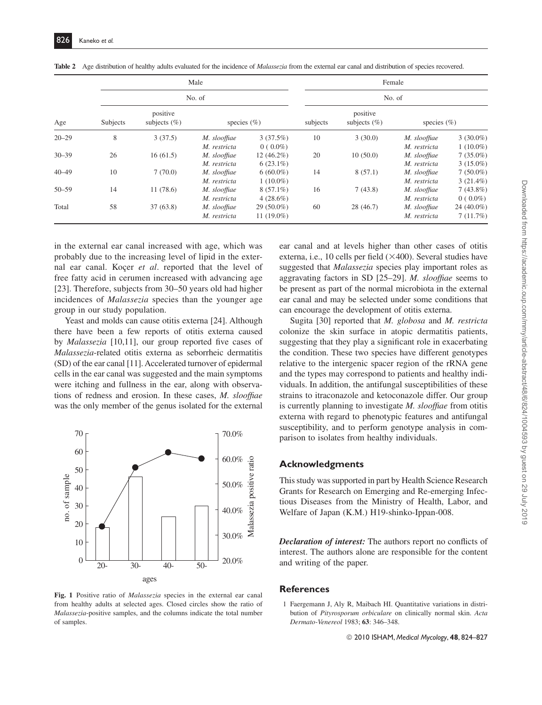|                  |          |                                         | Male            | Female<br>No. of |          |                              |                 |             |
|------------------|----------|-----------------------------------------|-----------------|------------------|----------|------------------------------|-----------------|-------------|
| Age<br>$20 - 29$ |          |                                         | No. of          |                  |          |                              |                 |             |
|                  | Subjects | positive<br>subjects $(\% )$<br>3(37.5) | species $(\% )$ |                  | subjects | positive<br>subjects $(\% )$ | species $(\% )$ |             |
|                  | 8        |                                         | M. slooffiae    | 3(37.5%)         | 10       | 3(30.0)                      | M. slooffiae    | $3(30.0\%)$ |
|                  |          |                                         | M. restricta    | $0(0.0\%)$       |          |                              | M. restricta    | $1(10.0\%)$ |
| $30 - 39$        | 26       | 16(61.5)                                | M. slooffiae    | $12(46.2\%)$     | 20       | 10(50.0)                     | M. slooffiae    | $7(35.0\%)$ |
|                  |          |                                         | M. restricta    | $6(23.1\%)$      |          |                              | M. restricta    | $3(15.0\%)$ |
| $40 - 49$        | 10       | 7(70.0)                                 | M. slooffiae    | $6(60.0\%)$      | 14       | 8(57.1)                      | M. slooffiae    | $7(50.0\%)$ |
|                  |          |                                         | M. restricta    | $1(10.0\%)$      |          |                              | M. restricta    | $3(21.4\%)$ |
| $50 - 59$        | 14       | 11(78.6)                                | M. slooffiae    | $8(57.1\%)$      | 16       | 7(43.8)                      | M. slooffiae    | $7(43.8\%)$ |
|                  |          |                                         | M. restricta    | $4(28.6\%)$      |          |                              | M. restricta    | $0(0.0\%)$  |
| Total            | 58       | 37(63.8)                                | M. slooffiae    | $29(50.0\%)$     | 60       | 28(46.7)                     | M. slooffiae    | 24 (40.0%)  |
|                  |          |                                         | M. restricta    | 11 $(19.0\%)$    |          |                              | M. restricta    | 7(11.7%)    |

**Table 2** Age distribution of healthy adults evaluated for the incidence of *Malassezia* from the external ear canal and distribution of species recovered.

in the external ear canal increased with age, which was probably due to the increasing level of lipid in the external ear canal. Koçer *et al* . reported that the level of free fatty acid in cerumen increased with advancing age [23]. Therefore, subjects from 30–50 years old had higher incidences of *Malassezia* species than the younger age group in our study population.

Yeast and molds can cause otitis externa [24]. Although there have been a few reports of otitis externa caused by *Malassezia* [10,11], our group reported five cases of *Malassezia* -related otitis externa as seborrheic dermatitis (SD) of the ear canal [11]. Accelerated turnover of epidermal cells in the ear canal was suggested and the main symptoms were itching and fullness in the ear, along with observations of redness and erosion. In these cases, *M. slooffiae* was the only member of the genus isolated for the external



 **Fig. 1** Positive ratio of *Malassezia* species in the external ear canal from healthy adults at selected ages. Closed circles show the ratio of *Malassezia* -positive samples, and the columns indicate the total number of samples.

ear canal and at levels higher than other cases of otitis externa, i.e., 10 cells per field  $(\times 400)$ . Several studies have suggested that *Malassezia* species play important roles as aggravating factors in SD [25–29]. *M. slooffiae* seems to be present as part of the normal microbiota in the external ear canal and may be selected under some conditions that can encourage the development of otitis externa.

 Sugita [30] reported that *M. globosa* and *M. restricta* colonize the skin surface in atopic dermatitis patients, suggesting that they play a significant role in exacerbating the condition. These two species have different genotypes relative to the intergenic spacer region of the rRNA gene and the types may correspond to patients and healthy individuals. In addition, the antifungal susceptibilities of these strains to itraconazole and ketoconazole differ. Our group is currently planning to investigate *M. slooffiae* from otitis externa with regard to phenotypic features and antifungal susceptibility, and to perform genotype analysis in comparison to isolates from healthy individuals.

#### **Acknowledgments**

 This study was supported in part by Health Science Research Grants for Research on Emerging and Re-emerging Infectious Diseases from the Ministry of Health, Labor, and Welfare of Japan (K.M.) H19-shinko-Ippan-008.

*Declaration of interest:* The authors report no conflicts of interest. The authors alone are responsible for the content and writing of the paper.

#### **References**

1 Faergemann J, Aly R, Maibach HI. Quantitative variations in distribution of *Pityrosporum orbiculare* on clinically normal skin. *Acta Dermato-Venereol* 1983; **63** : 346–348.